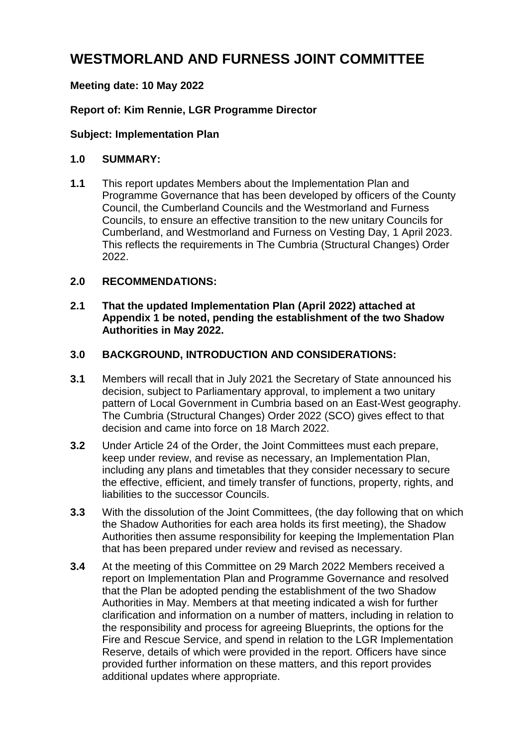# **WESTMORLAND AND FURNESS JOINT COMMITTEE**

# **Meeting date: 10 May 2022**

# **Report of: Kim Rennie, LGR Programme Director**

#### **Subject: Implementation Plan**

#### **1.0 SUMMARY:**

**1.1** This report updates Members about the Implementation Plan and Programme Governance that has been developed by officers of the County Council, the Cumberland Councils and the Westmorland and Furness Councils, to ensure an effective transition to the new unitary Councils for Cumberland, and Westmorland and Furness on Vesting Day, 1 April 2023. This reflects the requirements in The Cumbria (Structural Changes) Order 2022.

#### **2.0 RECOMMENDATIONS:**

**2.1 That the updated Implementation Plan (April 2022) attached at Appendix 1 be noted, pending the establishment of the two Shadow Authorities in May 2022.**

#### **3.0 BACKGROUND, INTRODUCTION AND CONSIDERATIONS:**

- **3.1** Members will recall that in July 2021 the Secretary of State announced his decision, subject to Parliamentary approval, to implement a two unitary pattern of Local Government in Cumbria based on an East-West geography. The Cumbria (Structural Changes) Order 2022 (SCO) gives effect to that decision and came into force on 18 March 2022.
- **3.2** Under Article 24 of the Order, the Joint Committees must each prepare, keep under review, and revise as necessary, an Implementation Plan, including any plans and timetables that they consider necessary to secure the effective, efficient, and timely transfer of functions, property, rights, and liabilities to the successor Councils.
- **3.3** With the dissolution of the Joint Committees, (the day following that on which the Shadow Authorities for each area holds its first meeting), the Shadow Authorities then assume responsibility for keeping the Implementation Plan that has been prepared under review and revised as necessary.
- **3.4** At the meeting of this Committee on 29 March 2022 Members received a report on Implementation Plan and Programme Governance and resolved that the Plan be adopted pending the establishment of the two Shadow Authorities in May. Members at that meeting indicated a wish for further clarification and information on a number of matters, including in relation to the responsibility and process for agreeing Blueprints, the options for the Fire and Rescue Service, and spend in relation to the LGR Implementation Reserve, details of which were provided in the report. Officers have since provided further information on these matters, and this report provides additional updates where appropriate.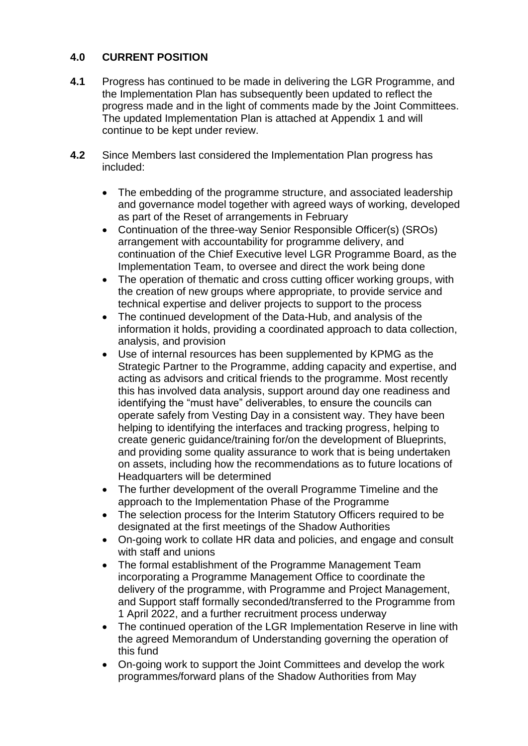# **4.0 CURRENT POSITION**

- **4.1** Progress has continued to be made in delivering the LGR Programme, and the Implementation Plan has subsequently been updated to reflect the progress made and in the light of comments made by the Joint Committees. The updated Implementation Plan is attached at Appendix 1 and will continue to be kept under review.
- **4.2** Since Members last considered the Implementation Plan progress has included:
	- The embedding of the programme structure, and associated leadership and governance model together with agreed ways of working, developed as part of the Reset of arrangements in February
	- Continuation of the three-way Senior Responsible Officer(s) (SROs) arrangement with accountability for programme delivery, and continuation of the Chief Executive level LGR Programme Board, as the Implementation Team, to oversee and direct the work being done
	- The operation of thematic and cross cutting officer working groups, with the creation of new groups where appropriate, to provide service and technical expertise and deliver projects to support to the process
	- The continued development of the Data-Hub, and analysis of the information it holds, providing a coordinated approach to data collection, analysis, and provision
	- Use of internal resources has been supplemented by KPMG as the Strategic Partner to the Programme, adding capacity and expertise, and acting as advisors and critical friends to the programme. Most recently this has involved data analysis, support around day one readiness and identifying the "must have" deliverables, to ensure the councils can operate safely from Vesting Day in a consistent way. They have been helping to identifying the interfaces and tracking progress, helping to create generic guidance/training for/on the development of Blueprints, and providing some quality assurance to work that is being undertaken on assets, including how the recommendations as to future locations of Headquarters will be determined
	- The further development of the overall Programme Timeline and the approach to the Implementation Phase of the Programme
	- The selection process for the Interim Statutory Officers required to be designated at the first meetings of the Shadow Authorities
	- On-going work to collate HR data and policies, and engage and consult with staff and unions
	- The formal establishment of the Programme Management Team incorporating a Programme Management Office to coordinate the delivery of the programme, with Programme and Project Management, and Support staff formally seconded/transferred to the Programme from 1 April 2022, and a further recruitment process underway
	- The continued operation of the LGR Implementation Reserve in line with the agreed Memorandum of Understanding governing the operation of this fund
	- On-going work to support the Joint Committees and develop the work programmes/forward plans of the Shadow Authorities from May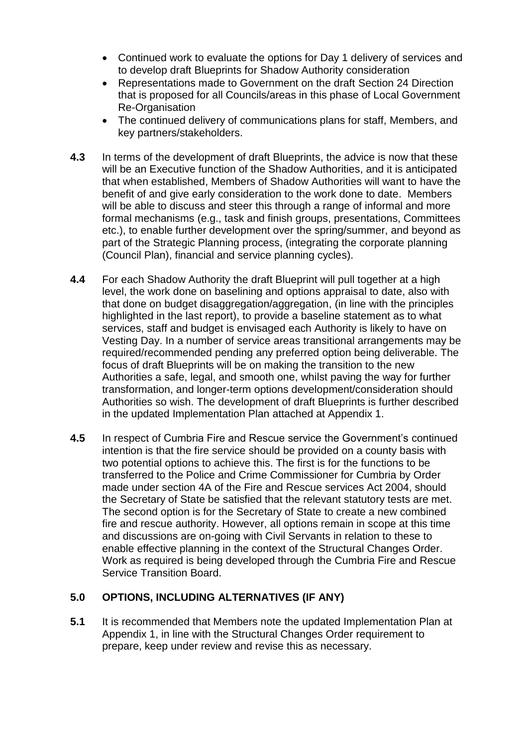- Continued work to evaluate the options for Day 1 delivery of services and to develop draft Blueprints for Shadow Authority consideration
- Representations made to Government on the draft Section 24 Direction that is proposed for all Councils/areas in this phase of Local Government Re-Organisation
- The continued delivery of communications plans for staff, Members, and key partners/stakeholders.
- **4.3** In terms of the development of draft Blueprints, the advice is now that these will be an Executive function of the Shadow Authorities, and it is anticipated that when established, Members of Shadow Authorities will want to have the benefit of and give early consideration to the work done to date. Members will be able to discuss and steer this through a range of informal and more formal mechanisms (e.g., task and finish groups, presentations, Committees etc.), to enable further development over the spring/summer, and beyond as part of the Strategic Planning process, (integrating the corporate planning (Council Plan), financial and service planning cycles).
- **4.4** For each Shadow Authority the draft Blueprint will pull together at a high level, the work done on baselining and options appraisal to date, also with that done on budget disaggregation/aggregation, (in line with the principles highlighted in the last report), to provide a baseline statement as to what services, staff and budget is envisaged each Authority is likely to have on Vesting Day. In a number of service areas transitional arrangements may be required/recommended pending any preferred option being deliverable. The focus of draft Blueprints will be on making the transition to the new Authorities a safe, legal, and smooth one, whilst paving the way for further transformation, and longer-term options development/consideration should Authorities so wish. The development of draft Blueprints is further described in the updated Implementation Plan attached at Appendix 1.
- **4.5** In respect of Cumbria Fire and Rescue service the Government's continued intention is that the fire service should be provided on a county basis with two potential options to achieve this. The first is for the functions to be transferred to the Police and Crime Commissioner for Cumbria by Order made under section 4A of the Fire and Rescue services Act 2004, should the Secretary of State be satisfied that the relevant statutory tests are met. The second option is for the Secretary of State to create a new combined fire and rescue authority. However, all options remain in scope at this time and discussions are on-going with Civil Servants in relation to these to enable effective planning in the context of the Structural Changes Order. Work as required is being developed through the Cumbria Fire and Rescue Service Transition Board.

#### **5.0 OPTIONS, INCLUDING ALTERNATIVES (IF ANY)**

**5.1** It is recommended that Members note the updated Implementation Plan at Appendix 1, in line with the Structural Changes Order requirement to prepare, keep under review and revise this as necessary.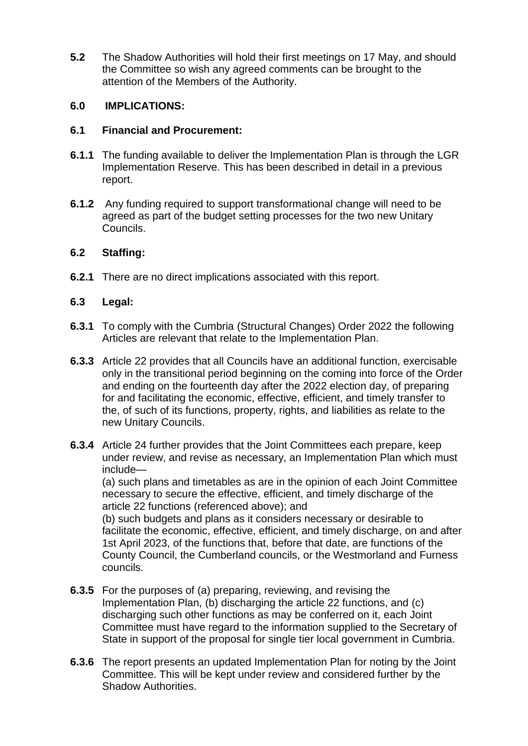**5.2** The Shadow Authorities will hold their first meetings on 17 May, and should the Committee so wish any agreed comments can be brought to the attention of the Members of the Authority.

# **6.0 IMPLICATIONS:**

#### **6.1 Financial and Procurement:**

- **6.1.1** The funding available to deliver the Implementation Plan is through the LGR Implementation Reserve. This has been described in detail in a previous report.
- **6.1.2** Any funding required to support transformational change will need to be agreed as part of the budget setting processes for the two new Unitary Councils.

## **6.2 Staffing:**

**6.2.1** There are no direct implications associated with this report.

## **6.3 Legal:**

- **6.3.1** To comply with the Cumbria (Structural Changes) Order 2022 the following Articles are relevant that relate to the Implementation Plan.
- **6.3.3** Article 22 provides that all Councils have an additional function, exercisable only in the transitional period beginning on the coming into force of the Order and ending on the fourteenth day after the 2022 election day, of preparing for and facilitating the economic, effective, efficient, and timely transfer to the, of such of its functions, property, rights, and liabilities as relate to the new Unitary Councils.
- **6.3.4** Article 24 further provides that the Joint Committees each prepare, keep under review, and revise as necessary, an Implementation Plan which must include—

(a) such plans and timetables as are in the opinion of each Joint Committee necessary to secure the effective, efficient, and timely discharge of the article 22 functions (referenced above); and

(b) such budgets and plans as it considers necessary or desirable to facilitate the economic, effective, efficient, and timely discharge, on and after 1st April 2023, of the functions that, before that date, are functions of the County Council, the Cumberland councils, or the Westmorland and Furness councils.

- **6.3.5** For the purposes of (a) preparing, reviewing, and revising the Implementation Plan, (b) discharging the article 22 functions, and (c) discharging such other functions as may be conferred on it, each Joint Committee must have regard to the information supplied to the Secretary of State in support of the proposal for single tier local government in Cumbria.
- **6.3.6** The report presents an updated Implementation Plan for noting by the Joint Committee. This will be kept under review and considered further by the Shadow Authorities.